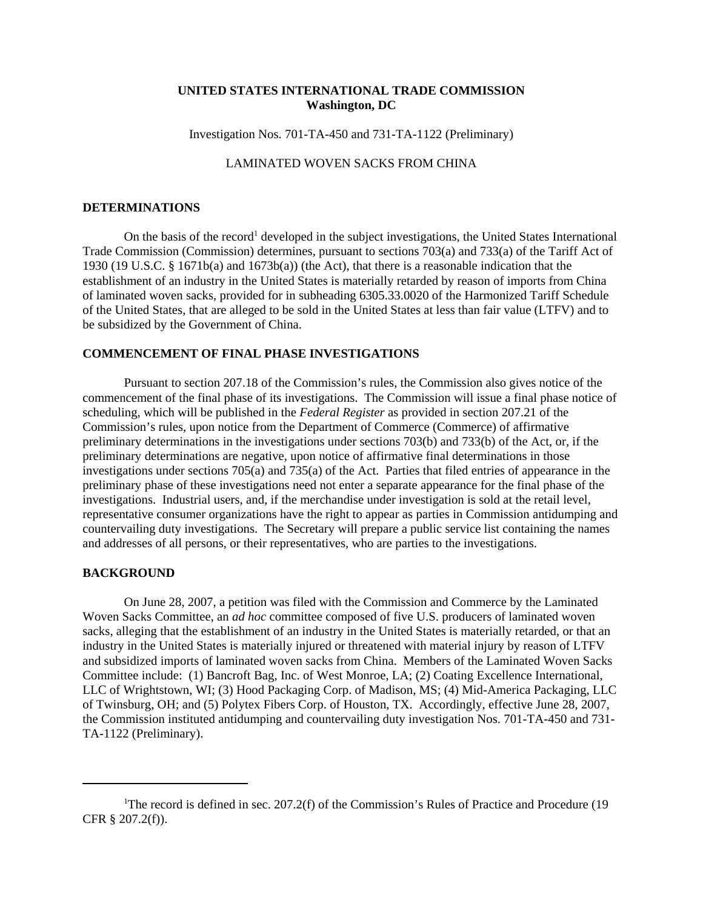# **UNITED STATES INTERNATIONAL TRADE COMMISSION Washington, DC**

Investigation Nos. 701-TA-450 and 731-TA-1122 (Preliminary)

# LAMINATED WOVEN SACKS FROM CHINA

# **DETERMINATIONS**

On the basis of the record<sup>1</sup> developed in the subject investigations, the United States International Trade Commission (Commission) determines, pursuant to sections 703(a) and 733(a) of the Tariff Act of 1930 (19 U.S.C. § 1671b(a) and 1673b(a)) (the Act), that there is a reasonable indication that the establishment of an industry in the United States is materially retarded by reason of imports from China of laminated woven sacks, provided for in subheading 6305.33.0020 of the Harmonized Tariff Schedule of the United States, that are alleged to be sold in the United States at less than fair value (LTFV) and to be subsidized by the Government of China.

## **COMMENCEMENT OF FINAL PHASE INVESTIGATIONS**

Pursuant to section 207.18 of the Commission's rules, the Commission also gives notice of the commencement of the final phase of its investigations. The Commission will issue a final phase notice of scheduling, which will be published in the *Federal Register* as provided in section 207.21 of the Commission's rules, upon notice from the Department of Commerce (Commerce) of affirmative preliminary determinations in the investigations under sections 703(b) and 733(b) of the Act, or, if the preliminary determinations are negative, upon notice of affirmative final determinations in those investigations under sections 705(a) and 735(a) of the Act. Parties that filed entries of appearance in the preliminary phase of these investigations need not enter a separate appearance for the final phase of the investigations. Industrial users, and, if the merchandise under investigation is sold at the retail level, representative consumer organizations have the right to appear as parties in Commission antidumping and countervailing duty investigations. The Secretary will prepare a public service list containing the names and addresses of all persons, or their representatives, who are parties to the investigations.

#### **BACKGROUND**

On June 28, 2007, a petition was filed with the Commission and Commerce by the Laminated Woven Sacks Committee, an *ad hoc* committee composed of five U.S. producers of laminated woven sacks, alleging that the establishment of an industry in the United States is materially retarded, or that an industry in the United States is materially injured or threatened with material injury by reason of LTFV and subsidized imports of laminated woven sacks from China. Members of the Laminated Woven Sacks Committee include: (1) Bancroft Bag, Inc. of West Monroe, LA; (2) Coating Excellence International, LLC of Wrightstown, WI; (3) Hood Packaging Corp. of Madison, MS; (4) Mid-America Packaging, LLC of Twinsburg, OH; and (5) Polytex Fibers Corp. of Houston, TX. Accordingly, effective June 28, 2007, the Commission instituted antidumping and countervailing duty investigation Nos. 701-TA-450 and 731- TA-1122 (Preliminary).

<sup>&</sup>lt;sup>1</sup>The record is defined in sec. 207.2(f) of the Commission's Rules of Practice and Procedure (19 CFR § 207.2(f)).